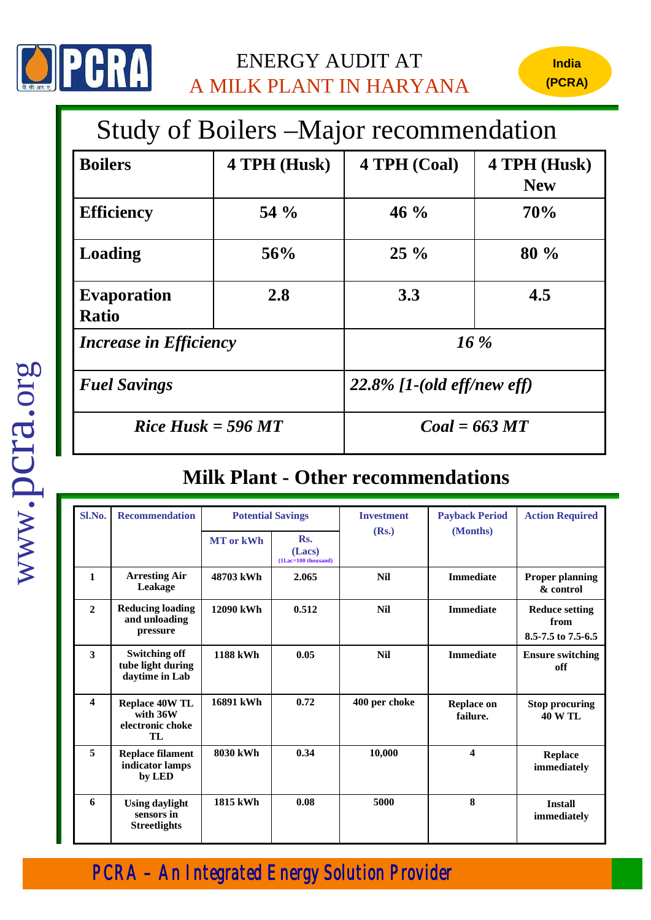

## ENERGY AUDIT AT A MILK PLANT IN HARYANA

## Study of Boilers –Major recommendation

| <b>Boilers</b>                     | 4 TPH (Husk) | 4 TPH (Coal)                  | 4 TPH (Husk)<br><b>New</b> |  |
|------------------------------------|--------------|-------------------------------|----------------------------|--|
| <b>Efficiency</b>                  | 54 $\%$      | $46\%$                        | 70%                        |  |
| <b>Loading</b>                     | 56%          | $25\%$                        | 80 %                       |  |
| <b>Evaporation</b><br><b>Ratio</b> | 2.8          | 3.3                           | 4.5                        |  |
| <i>Increase in Efficiency</i>      |              | $16\%$                        |                            |  |
| <b>Fuel Savings</b>                |              | $22.8\%$ [1-(old eff/new eff) |                            |  |
| $Rice Husk = 596 MT$               |              | $Coal = 663 MT$               |                            |  |

*PCRA – An Integrated Energy Solution Provider*

## **Milk Plant - Other recommendations**

| Sl.No.                  | <b>Recommendation</b>                                       | <b>Potential Savings</b> |                                         | <b>Investment</b> | <b>Payback Period</b>         | <b>Action Required</b>                              |
|-------------------------|-------------------------------------------------------------|--------------------------|-----------------------------------------|-------------------|-------------------------------|-----------------------------------------------------|
|                         |                                                             | <b>MT</b> or kWh         | Rs.<br>(Lacs)<br>$(1$ Lac=100 thousand) | (Rs.)             | (Months)                      |                                                     |
| $\mathbf{1}$            | <b>Arresting Air</b><br>Leakage                             | 48703 kWh                | 2.065                                   | <b>Nil</b>        | <b>Immediate</b>              | <b>Proper planning</b><br>& control                 |
| $\overline{2}$          | <b>Reducing loading</b><br>and unloading<br>pressure        | 12090 kWh                | 0.512                                   | <b>Nil</b>        | <b>Immediate</b>              | <b>Reduce setting</b><br>from<br>8.5-7.5 to 7.5-6.5 |
| $\overline{\mathbf{3}}$ | <b>Switching off</b><br>tube light during<br>daytime in Lab | <b>1188 kWh</b>          | 0.05                                    | <b>Nil</b>        | <b>Immediate</b>              | <b>Ensure switching</b><br>off                      |
| $\overline{\mathbf{4}}$ | <b>Replace 40W TL</b><br>with 36W<br>electronic choke<br>TL | 16891 kWh                | 0.72                                    | 400 per choke     | <b>Replace on</b><br>failure. | <b>Stop procuring</b><br><b>40 W TL</b>             |
| 5                       | <b>Replace filament</b><br>indicator lamps<br>by LED        | 8030 kWh                 | 0.34                                    | 10,000            | $\overline{\mathbf{4}}$       | <b>Replace</b><br>immediately                       |
| 6                       | <b>Using daylight</b><br>sensors in<br><b>Streetlights</b>  | 1815 kWh                 | 0.08                                    | 5000              | 8                             | <b>Install</b><br>immediately                       |